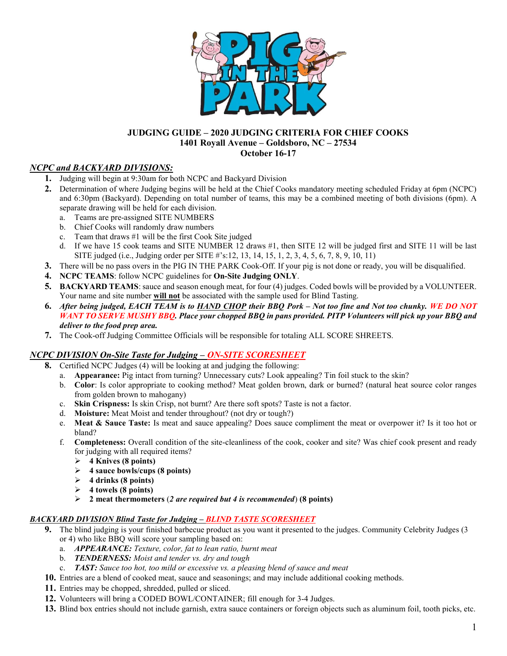

## JUDGING GUIDE – 2020 JUDGING CRITERIA FOR CHIEF COOKS 1401 Royall Avenue – Goldsboro, NC – 27534 October 16-17

# NCPC and BACKYARD DIVISIONS:

- 1. Judging will begin at 9:30am for both NCPC and Backyard Division
- 2. Determination of where Judging begins will be held at the Chief Cooks mandatory meeting scheduled Friday at 6pm (NCPC) and 6:30pm (Backyard). Depending on total number of teams, this may be a combined meeting of both divisions (6pm). A separate drawing will be held for each division.
	- a. Teams are pre-assigned SITE NUMBERS
	- b. Chief Cooks will randomly draw numbers
	- c. Team that draws #1 will be the first Cook Site judged
	- d. If we have 15 cook teams and SITE NUMBER 12 draws #1, then SITE 12 will be judged first and SITE 11 will be last SITE judged (i.e., Judging order per SITE #'s:12, 13, 14, 15, 1, 2, 3, 4, 5, 6, 7, 8, 9, 10, 11)
- 3. There will be no pass overs in the PIG IN THE PARK Cook-Off. If your pig is not done or ready, you will be disqualified.
- 4. NCPC TEAMS: follow NCPC guidelines for On-Site Judging ONLY.
- 5. BACKYARD TEAMS: sauce and season enough meat, for four (4) judges. Coded bowls will be provided by a VOLUNTEER. Your name and site number will not be associated with the sample used for Blind Tasting.
- 6. After being judged, EACH TEAM is to HAND CHOP their BBQ Pork Not too fine and Not too chunky. WE DO NOT WANT TO SERVE MUSHY BBO. Place your chopped BBO in pans provided. PITP Volunteers will pick up your BBO and deliver to the food prep area.
- 7. The Cook-off Judging Committee Officials will be responsible for totaling ALL SCORE SHREETS.

## NCPC DIVISION On-Site Taste for Judging – ON-SITE SCORESHEET

- 8. Certified NCPC Judges (4) will be looking at and judging the following:
	- a. **Appearance:** Pig intact from turning? Unnecessary cuts? Look appealing? Tin foil stuck to the skin?
	- b. Color: Is color appropriate to cooking method? Meat golden brown, dark or burned? (natural heat source color ranges from golden brown to mahogany)
	- c. Skin Crispness: Is skin Crisp, not burnt? Are there soft spots? Taste is not a factor.
	- d. Moisture: Meat Moist and tender throughout? (not dry or tough?)
	- e. Meat & Sauce Taste: Is meat and sauce appealing? Does sauce compliment the meat or overpower it? Is it too hot or bland?
	- f. Completeness: Overall condition of the site-cleanliness of the cook, cooker and site? Was chief cook present and ready for judging with all required items?
		- $\triangleright$  4 Knives (8 points)
		- $\geq$  4 sauce bowls/cups (8 points)
		- $\geq 4$  drinks (8 points)
		- $\geq 4$  towels (8 points)
		- $\geq$  2 meat thermometers (2 are required but 4 is recommended) (8 points)

#### BACKYARD DIVISION Blind Taste for Judging – BLIND TASTE SCORESHEET

- 9. The blind judging is your finished barbecue product as you want it presented to the judges. Community Celebrity Judges (3 or 4) who like BBQ will score your sampling based on:
	- a. **APPEARANCE:** Texture, color, fat to lean ratio, burnt meat
	- b. TENDERNESS: Moist and tender vs. dry and tough
	- c. **TAST:** Sauce too hot, too mild or excessive vs. a pleasing blend of sauce and meat
- 10. Entries are a blend of cooked meat, sauce and seasonings; and may include additional cooking methods.
- 11. Entries may be chopped, shredded, pulled or sliced.
- 12. Volunteers will bring a CODED BOWL/CONTAINER; fill enough for 3-4 Judges.
- 13. Blind box entries should not include garnish, extra sauce containers or foreign objects such as aluminum foil, tooth picks, etc.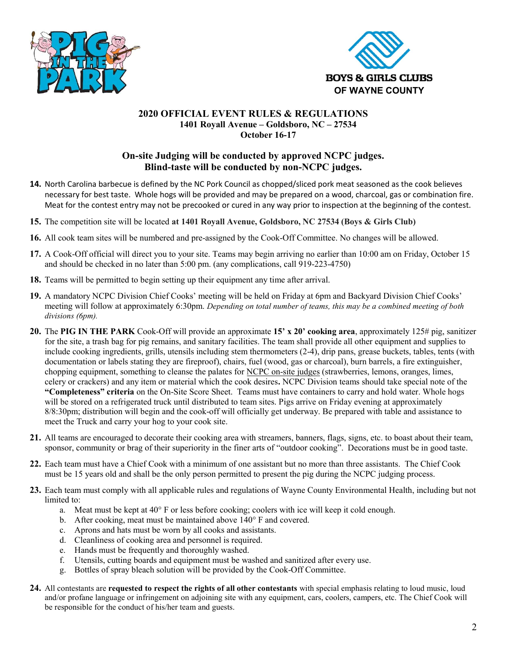



## 2020 OFFICIAL EVENT RULES & REGULATIONS 1401 Royall Avenue – Goldsboro, NC – 27534 October 16-17

# On-site Judging will be conducted by approved NCPC judges. Blind-taste will be conducted by non-NCPC judges.

- 14. North Carolina barbecue is defined by the NC Pork Council as chopped/sliced pork meat seasoned as the cook believes necessary for best taste. Whole hogs will be provided and may be prepared on a wood, charcoal, gas or combination fire. Meat for the contest entry may not be precooked or cured in any way prior to inspection at the beginning of the contest.
- 15. The competition site will be located at 1401 Royall Avenue, Goldsboro, NC 27534 (Boys & Girls Club)
- 16. All cook team sites will be numbered and pre-assigned by the Cook-Off Committee. No changes will be allowed.
- 17. A Cook-Off official will direct you to your site. Teams may begin arriving no earlier than 10:00 am on Friday, October 15 and should be checked in no later than 5:00 pm. (any complications, call 919-223-4750)
- 18. Teams will be permitted to begin setting up their equipment any time after arrival.
- 19. A mandatory NCPC Division Chief Cooks' meeting will be held on Friday at 6pm and Backyard Division Chief Cooks' meeting will follow at approximately 6:30pm. Depending on total number of teams, this may be a combined meeting of both divisions (6pm).
- 20. The PIG IN THE PARK Cook-Off will provide an approximate 15' x 20' cooking area, approximately  $125\#$  pig, sanitizer for the site, a trash bag for pig remains, and sanitary facilities. The team shall provide all other equipment and supplies to include cooking ingredients, grills, utensils including stem thermometers (2-4), drip pans, grease buckets, tables, tents (with documentation or labels stating they are fireproof), chairs, fuel (wood, gas or charcoal), burn barrels, a fire extinguisher, chopping equipment, something to cleanse the palates for NCPC on-site judges (strawberries, lemons, oranges, limes, celery or crackers) and any item or material which the cook desires. NCPC Division teams should take special note of the "Completeness" criteria on the On-Site Score Sheet. Teams must have containers to carry and hold water. Whole hogs will be stored on a refrigerated truck until distributed to team sites. Pigs arrive on Friday evening at approximately 8/8:30pm; distribution will begin and the cook-off will officially get underway. Be prepared with table and assistance to meet the Truck and carry your hog to your cook site.
- 21. All teams are encouraged to decorate their cooking area with streamers, banners, flags, signs, etc. to boast about their team, sponsor, community or brag of their superiority in the finer arts of "outdoor cooking". Decorations must be in good taste.
- 22. Each team must have a Chief Cook with a minimum of one assistant but no more than three assistants. The Chief Cook must be 15 years old and shall be the only person permitted to present the pig during the NCPC judging process.
- 23. Each team must comply with all applicable rules and regulations of Wayne County Environmental Health, including but not limited to:
	- a. Meat must be kept at 40° F or less before cooking; coolers with ice will keep it cold enough.
	- b. After cooking, meat must be maintained above 140° F and covered.
	- c. Aprons and hats must be worn by all cooks and assistants.
	- d. Cleanliness of cooking area and personnel is required.
	- e. Hands must be frequently and thoroughly washed.
	- f. Utensils, cutting boards and equipment must be washed and sanitized after every use.
	- g. Bottles of spray bleach solution will be provided by the Cook-Off Committee.
- 24. All contestants are requested to respect the rights of all other contestants with special emphasis relating to loud music, loud and/or profane language or infringement on adjoining site with any equipment, cars, coolers, campers, etc. The Chief Cook will be responsible for the conduct of his/her team and guests.